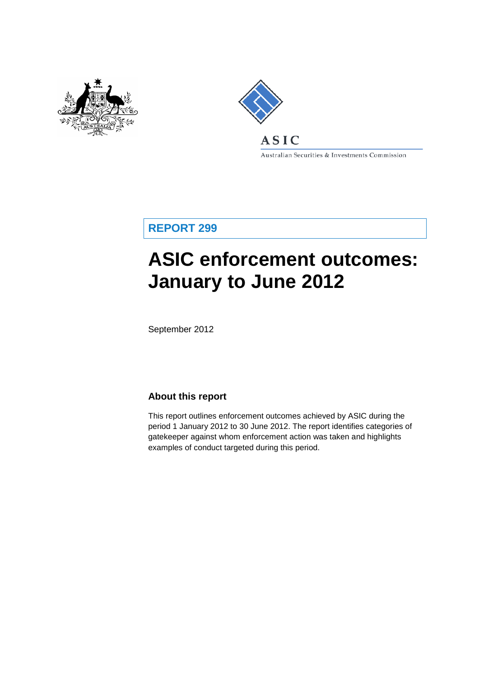



Australian Securities & Investments Commission

**REPORT 299**

# **ASIC enforcement outcomes: January to June 2012**

September 2012

## **About this report**

<span id="page-0-0"></span>This report outlines enforcement outcomes achieved by ASIC during the period 1 January 2012 to 30 June 2012. The report identifies categories of gatekeeper against whom enforcement action was taken and highlights examples of conduct targeted during this period.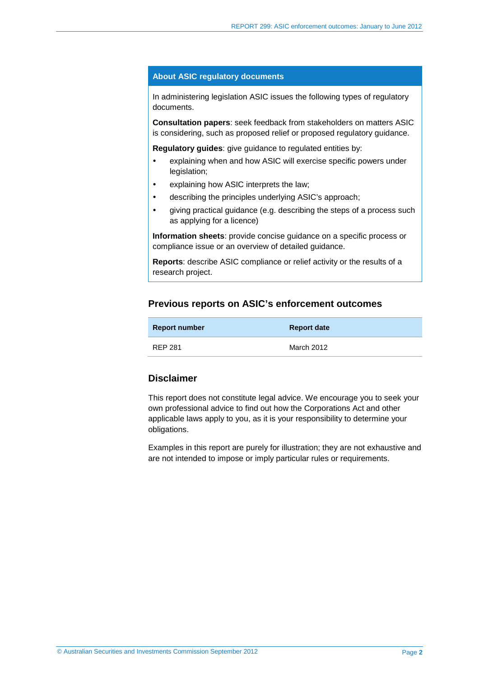#### **About ASIC regulatory documents**

In administering legislation ASIC issues the following types of regulatory documents.

**Consultation papers**: seek feedback from stakeholders on matters ASIC is considering, such as proposed relief or proposed regulatory guidance.

**Regulatory guides**: give guidance to regulated entities by:

- explaining when and how ASIC will exercise specific powers under legislation;
- explaining how ASIC interprets the law;
- describing the principles underlying ASIC's approach;
- giving practical guidance (e.g. describing the steps of a process such as applying for a licence)

**Information sheets**: provide concise guidance on a specific process or compliance issue or an overview of detailed guidance.

**Reports**: describe ASIC compliance or relief activity or the results of a research project.

#### **Previous reports on ASIC's enforcement outcomes**

| <b>Report number</b> | <b>Report date</b> |
|----------------------|--------------------|
| REP 281              | March 2012         |

#### **Disclaimer**

This report does not constitute legal advice. We encourage you to seek your own professional advice to find out how the Corporations Act and other applicable laws apply to you, as it is your responsibility to determine your obligations.

Examples in this report are purely for illustration; they are not exhaustive and are not intended to impose or imply particular rules or requirements.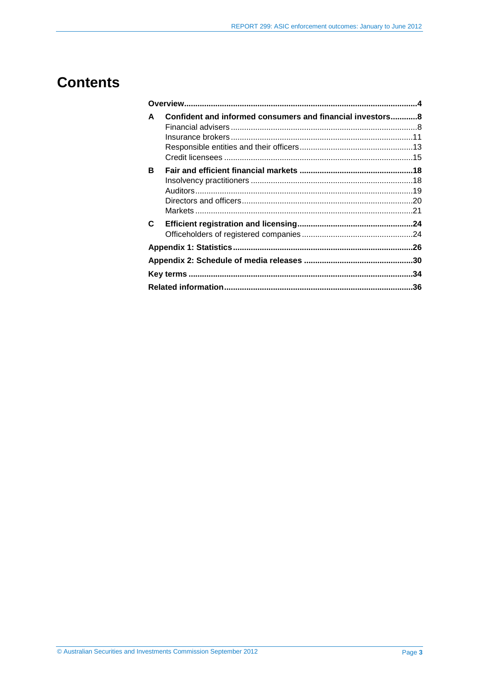# **Contents**

| A | Confident and informed consumers and financial investors 8 |     |
|---|------------------------------------------------------------|-----|
| в |                                                            |     |
| C |                                                            |     |
|   |                                                            |     |
|   |                                                            | .30 |
|   |                                                            | .34 |
|   |                                                            |     |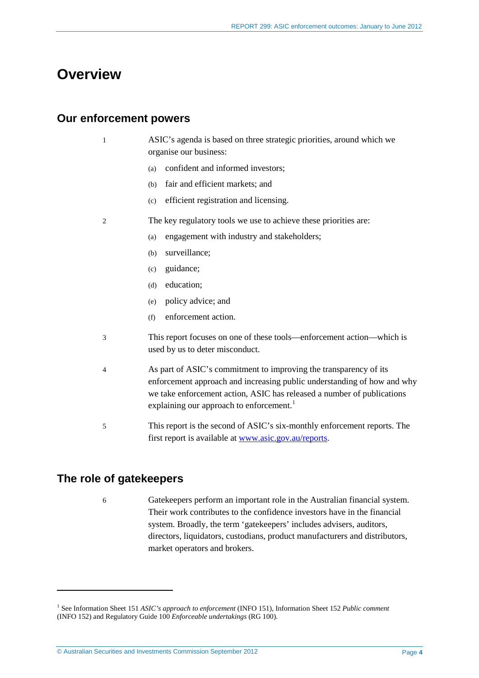## <span id="page-3-0"></span>**Overview**

## **Our enforcement powers**

- 1 ASIC's agenda is based on three strategic priorities, around which we organise our business:
	- (a) confident and informed investors;
	- (b) fair and efficient markets; and
	- (c) efficient registration and licensing.
- 2 The key regulatory tools we use to achieve these priorities are:
	- (a) engagement with industry and stakeholders;
	- (b) surveillance;
	- (c) guidance;
	- (d) education;
	- (e) policy advice; and
	- (f) enforcement action.
- 3 This report focuses on one of these tools—enforcement action—which is used by us to deter misconduct.
- 4 As part of ASIC's commitment to improving the transparency of its enforcement approach and increasing public understanding of how and why we take enforcement action, ASIC has released a number of publications explaining our approach to enforcement.<sup>[1](#page-0-0)</sup>
- 5 This report is the second of ASIC's six-monthly enforcement reports. The first report is available at [www.asic.gov.au/reports.](http://www.asic.gov.au/reports/)

## **The role of gatekeepers**

-

6 Gatekeepers perform an important role in the Australian financial system. Their work contributes to the confidence investors have in the financial system. Broadly, the term 'gatekeepers' includes advisers, auditors, directors, liquidators, custodians, product manufacturers and distributors, market operators and brokers.

<span id="page-3-1"></span><sup>&</sup>lt;sup>1</sup> See Information Sheet 151 *ASIC's approach to enforcement* (INFO 151), Information Sheet 152 *Public comment* (INFO 152) and Regulatory Guide 100 *Enforceable undertakings* (RG 100).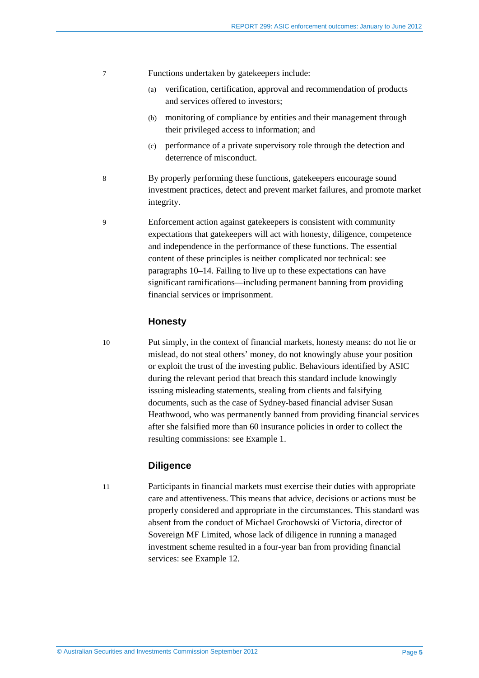- 7 Functions undertaken by gatekeepers include:
	- (a) verification, certification, approval and recommendation of products and services offered to investors;
	- (b) monitoring of compliance by entities and their management through their privileged access to information; and
	- (c) performance of a private supervisory role through the detection and deterrence of misconduct.
- 8 By properly performing these functions, gatekeepers encourage sound investment practices, detect and prevent market failures, and promote market integrity.
- 9 Enforcement action against gatekeepers is consistent with community expectations that gatekeepers will act with honesty, diligence, competence and independence in the performance of these functions. The essential content of these principles is neither complicated nor technical: see paragraphs [10–](#page-4-0)[14.](#page-5-0) Failing to live up to these expectations can have significant ramifications—including permanent banning from providing financial services or imprisonment.

#### **Honesty**

<span id="page-4-0"></span>10 Put simply, in the context of financial markets, honesty means: do not lie or mislead, do not steal others' money, do not knowingly abuse your position or exploit the trust of the investing public. Behaviours identified by ASIC during the relevant period that breach this standard include knowingly issuing misleading statements, stealing from clients and falsifying documents, such as the case of Sydney-based financial adviser Susan Heathwood, who was permanently banned from providing financial services after she falsified more than 60 insurance policies in order to collect the resulting commissions: see Example 1.

#### **Diligence**

11 Participants in financial markets must exercise their duties with appropriate care and attentiveness. This means that advice, decisions or actions must be properly considered and appropriate in the circumstances. This standard was absent from the conduct of Michael Grochowski of Victoria, director of Sovereign MF Limited, whose lack of diligence in running a managed investment scheme resulted in a four-year ban from providing financial services: see Example 12.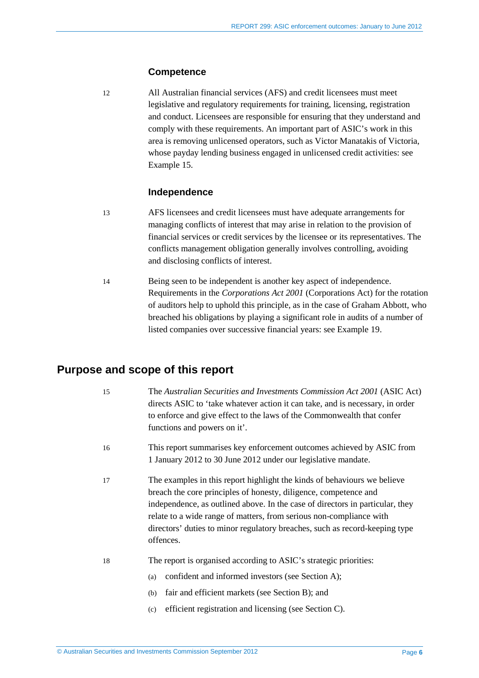#### **Competence**

12 All Australian financial services (AFS) and credit licensees must meet legislative and regulatory requirements for training, licensing, registration and conduct. Licensees are responsible for ensuring that they understand and comply with these requirements. An important part of ASIC's work in this area is removing unlicensed operators, such as Victor Manatakis of Victoria, whose payday lending business engaged in unlicensed credit activities: see Example 15.

#### **Independence**

- 13 AFS licensees and credit licensees must have adequate arrangements for managing conflicts of interest that may arise in relation to the provision of financial services or credit services by the licensee or its representatives. The conflicts management obligation generally involves controlling, avoiding and disclosing conflicts of interest.
- <span id="page-5-0"></span>14 Being seen to be independent is another key aspect of independence. Requirements in the *Corporations Act 2001* (Corporations Act) for the rotation of auditors help to uphold this principle, as in the case of Graham Abbott, who breached his obligations by playing a significant role in audits of a number of listed companies over successive financial years: see Example 19.

## **Purpose and scope of this report**

- 15 The *Australian Securities and Investments Commission Act 2001* (ASIC Act) directs ASIC to 'take whatever action it can take, and is necessary, in order to enforce and give effect to the laws of the Commonwealth that confer functions and powers on it'.
- 16 This report summarises key enforcement outcomes achieved by ASIC from 1 January 2012 to 30 June 2012 under our legislative mandate.
- 17 The examples in this report highlight the kinds of behaviours we believe breach the core principles of honesty, diligence, competence and independence, as outlined above. In the case of directors in particular, they relate to a wide range of matters, from serious non-compliance with directors' duties to minor regulatory breaches, such as record-keeping type offences.
- 18 The report is organised according to ASIC's strategic priorities:
	- (a) confident and informed investors (see Section [A\)](#page-7-0);
	- (b) fair and efficient markets (see Section [B\)](#page-17-0); and
	- (c) efficient registration and licensing (see Section [C\)](#page-23-0).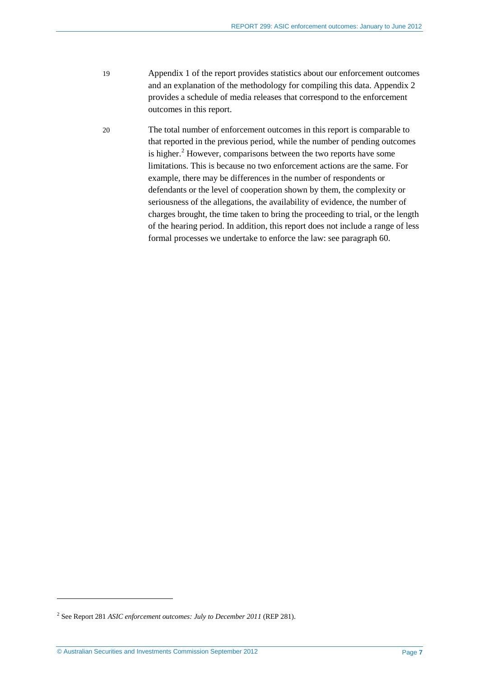- 19 Appendix 1 of the report provides statistics about our enforcement outcomes and an explanation of the methodology for compiling this data. Appendix 2 provides a schedule of media releases that correspond to the enforcement outcomes in this report.
- 20 The total number of enforcement outcomes in this report is comparable to that reported in the previous period, while the number of pending outcomes is higher.<sup>[2](#page-3-1)</sup> However, comparisons between the two reports have some limitations. This is because no two enforcement actions are the same. For example, there may be differences in the number of respondents or defendants or the level of cooperation shown by them, the complexity or seriousness of the allegations, the availability of evidence, the number of charges brought, the time taken to bring the proceeding to trial, or the length of the hearing period. In addition, this report does not include a range of less formal processes we undertake to enforce the law: see paragraph [60.](#page-28-0)

<u>.</u>

<span id="page-6-0"></span><sup>2</sup> See Report 281 *ASIC enforcement outcomes: July to December 2011* (REP 281).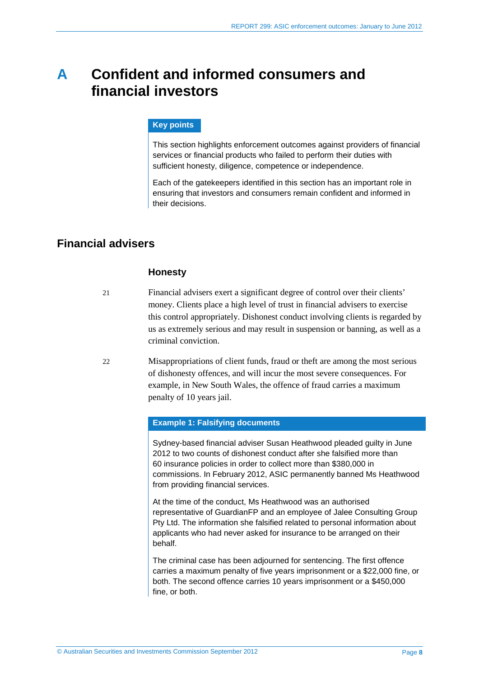## <span id="page-7-0"></span>**A Confident and informed consumers and financial investors**

#### **Key points**

This section highlights enforcement outcomes against providers of financial services or financial products who failed to perform their duties with sufficient honesty, diligence, competence or independence.

Each of the gatekeepers identified in this section has an important role in ensuring that investors and consumers remain confident and informed in their decisions.

## <span id="page-7-1"></span>**Financial advisers**

#### **Honesty**

- 21 Financial advisers exert a significant degree of control over their clients' money. Clients place a high level of trust in financial advisers to exercise this control appropriately. Dishonest conduct involving clients is regarded by us as extremely serious and may result in suspension or banning, as well as a criminal conviction.
- 22 Misappropriations of client funds, fraud or theft are among the most serious of dishonesty offences, and will incur the most severe consequences. For example, in New South Wales, the offence of fraud carries a maximum penalty of 10 years jail.

#### **Example 1: Falsifying documents**

Sydney-based financial adviser Susan Heathwood pleaded guilty in June 2012 to two counts of dishonest conduct after she falsified more than 60 insurance policies in order to collect more than \$380,000 in commissions. In February 2012, ASIC permanently banned Ms Heathwood from providing financial services.

At the time of the conduct, Ms Heathwood was an authorised representative of GuardianFP and an employee of Jalee Consulting Group Pty Ltd. The information she falsified related to personal information about applicants who had never asked for insurance to be arranged on their behalf.

The criminal case has been adjourned for sentencing. The first offence carries a maximum penalty of five years imprisonment or a \$22,000 fine, or both. The second offence carries 10 years imprisonment or a \$450,000 fine, or both.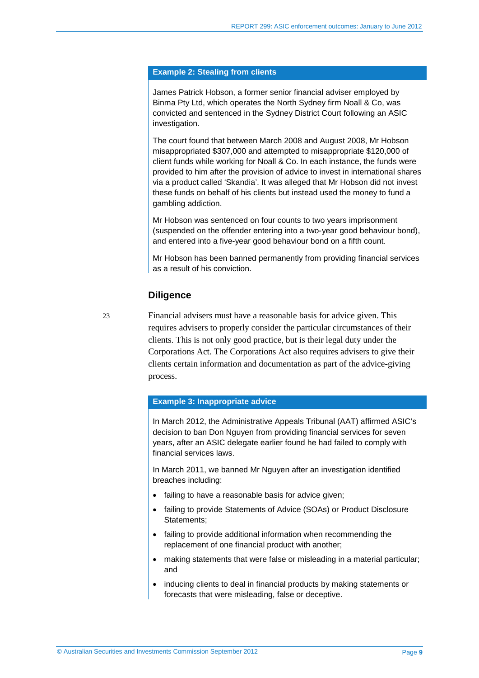#### **Example 2: Stealing from clients**

James Patrick Hobson, a former senior financial adviser employed by Binma Pty Ltd, which operates the North Sydney firm Noall & Co, was convicted and sentenced in the Sydney District Court following an ASIC investigation.

The court found that between March 2008 and August 2008, Mr Hobson misappropriated \$307,000 and attempted to misappropriate \$120,000 of client funds while working for Noall & Co. In each instance, the funds were provided to him after the provision of advice to invest in international shares via a product called 'Skandia'. It was alleged that Mr Hobson did not invest these funds on behalf of his clients but instead used the money to fund a gambling addiction.

Mr Hobson was sentenced on four counts to two years imprisonment (suspended on the offender entering into a two-year good behaviour bond), and entered into a five-year good behaviour bond on a fifth count.

Mr Hobson has been banned permanently from providing financial services as a result of his conviction.

### **Diligence**

23 Financial advisers must have a reasonable basis for advice given. This requires advisers to properly consider the particular circumstances of their clients. This is not only good practice, but is their legal duty under the Corporations Act. The Corporations Act also requires advisers to give their clients certain information and documentation as part of the advice-giving process.

#### **Example 3: Inappropriate advice**

In March 2012, the Administrative Appeals Tribunal (AAT) affirmed ASIC's decision to ban Don Nguyen from providing financial services for seven years, after an ASIC delegate earlier found he had failed to comply with financial services laws.

In March 2011, we banned Mr Nguyen after an investigation identified breaches including:

- failing to have a reasonable basis for advice given;
- failing to provide Statements of Advice (SOAs) or Product Disclosure Statements;
- failing to provide additional information when recommending the replacement of one financial product with another;
- making statements that were false or misleading in a material particular; and
- inducing clients to deal in financial products by making statements or forecasts that were misleading, false or deceptive.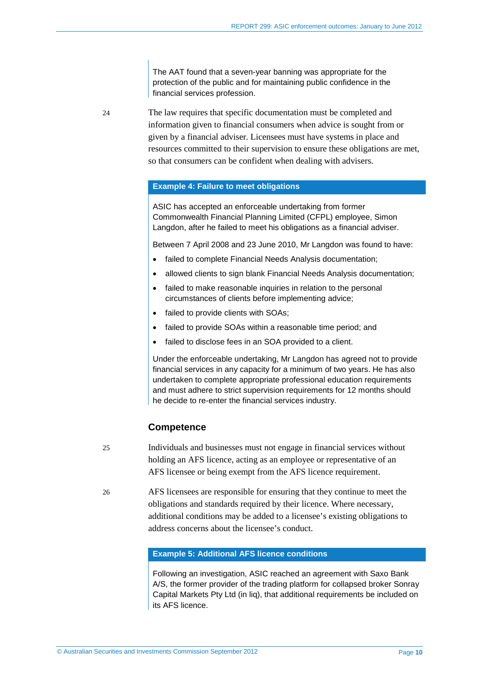The AAT found that a seven-year banning was appropriate for the protection of the public and for maintaining public confidence in the financial services profession.

24 The law requires that specific documentation must be completed and information given to financial consumers when advice is sought from or given by a financial adviser. Licensees must have systems in place and resources committed to their supervision to ensure these obligations are met, so that consumers can be confident when dealing with advisers.

#### **Example 4: Failure to meet obligations**

ASIC has accepted an enforceable undertaking from former Commonwealth Financial Planning Limited (CFPL) employee, Simon Langdon, after he failed to meet his obligations as a financial adviser.

Between 7 April 2008 and 23 June 2010, Mr Langdon was found to have:

- failed to complete Financial Needs Analysis documentation;
- allowed clients to sign blank Financial Needs Analysis documentation;
- failed to make reasonable inquiries in relation to the personal circumstances of clients before implementing advice;
- failed to provide clients with SOAs;
- failed to provide SOAs within a reasonable time period; and
- failed to disclose fees in an SOA provided to a client.

Under the enforceable undertaking, Mr Langdon has agreed not to provide financial services in any capacity for a minimum of two years. He has also undertaken to complete appropriate professional education requirements and must adhere to strict supervision requirements for 12 months should he decide to re-enter the financial services industry.

#### **Competence**

25 Individuals and businesses must not engage in financial services without holding an AFS licence, acting as an employee or representative of an AFS licensee or being exempt from the AFS licence requirement.

26 AFS licensees are responsible for ensuring that they continue to meet the obligations and standards required by their licence. Where necessary, additional conditions may be added to a licensee's existing obligations to address concerns about the licensee's conduct.

#### **Example 5: Additional AFS licence conditions**

Following an investigation, ASIC reached an agreement with Saxo Bank A/S, the former provider of the trading platform for collapsed broker Sonray Capital Markets Pty Ltd (in liq), that additional requirements be included on its AFS licence.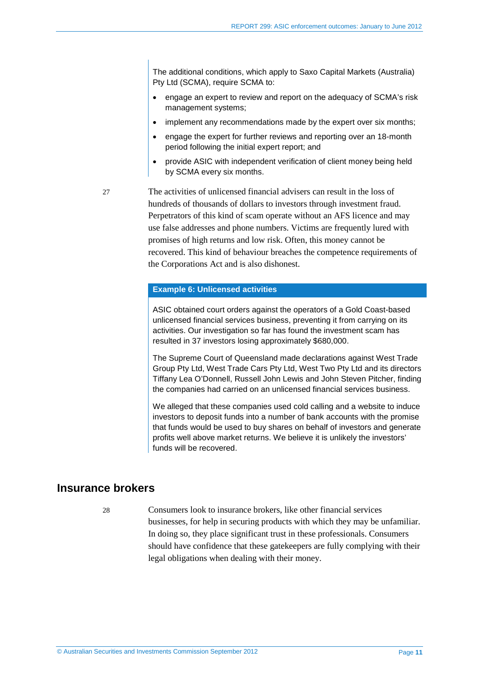The additional conditions, which apply to Saxo Capital Markets (Australia) Pty Ltd (SCMA), require SCMA to:

- engage an expert to review and report on the adequacy of SCMA's risk management systems;
- implement any recommendations made by the expert over six months;
- engage the expert for further reviews and reporting over an 18-month period following the initial expert report; and
- provide ASIC with independent verification of client money being held by SCMA every six months.

27 The activities of unlicensed financial advisers can result in the loss of hundreds of thousands of dollars to investors through investment fraud. Perpetrators of this kind of scam operate without an AFS licence and may use false addresses and phone numbers. Victims are frequently lured with promises of high returns and low risk. Often, this money cannot be recovered. This kind of behaviour breaches the competence requirements of the Corporations Act and is also dishonest.

#### **Example 6: Unlicensed activities**

ASIC obtained court orders against the operators of a Gold Coast-based unlicensed financial services business, preventing it from carrying on its activities. Our investigation so far has found the investment scam has resulted in 37 investors losing approximately \$680,000.

The Supreme Court of Queensland made declarations against West Trade Group Pty Ltd, West Trade Cars Pty Ltd, West Two Pty Ltd and its directors Tiffany Lea O'Donnell, Russell John Lewis and John Steven Pitcher, finding the companies had carried on an unlicensed financial services business.

We alleged that these companies used cold calling and a website to induce investors to deposit funds into a number of bank accounts with the promise that funds would be used to buy shares on behalf of investors and generate profits well above market returns. We believe it is unlikely the investors' funds will be recovered.

### <span id="page-10-0"></span>**Insurance brokers**

28 Consumers look to insurance brokers, like other financial services businesses, for help in securing products with which they may be unfamiliar. In doing so, they place significant trust in these professionals. Consumers should have confidence that these gatekeepers are fully complying with their legal obligations when dealing with their money.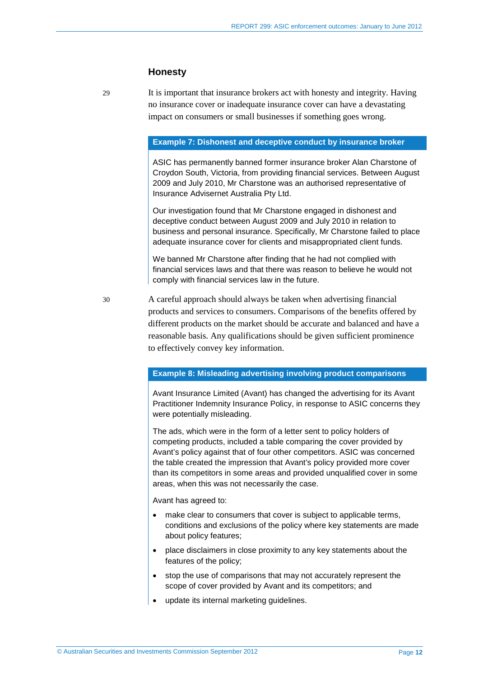#### **Honesty**

29 It is important that insurance brokers act with honesty and integrity. Having no insurance cover or inadequate insurance cover can have a devastating impact on consumers or small businesses if something goes wrong.

#### **Example 7: Dishonest and deceptive conduct by insurance broker**

ASIC has permanently banned former insurance broker Alan Charstone of Croydon South, Victoria, from providing financial services. Between August 2009 and July 2010, Mr Charstone was an authorised representative of Insurance Advisernet Australia Pty Ltd.

Our investigation found that Mr Charstone engaged in dishonest and deceptive conduct between August 2009 and July 2010 in relation to business and personal insurance. Specifically, Mr Charstone failed to place adequate insurance cover for clients and misappropriated client funds.

We banned Mr Charstone after finding that he had not complied with financial services laws and that there was reason to believe he would not comply with financial services law in the future.

30 A careful approach should always be taken when advertising financial products and services to consumers. Comparisons of the benefits offered by different products on the market should be accurate and balanced and have a reasonable basis. Any qualifications should be given sufficient prominence to effectively convey key information.

#### **Example 8: Misleading advertising involving product comparisons**

Avant Insurance Limited (Avant) has changed the advertising for its Avant Practitioner Indemnity Insurance Policy, in response to ASIC concerns they were potentially misleading.

The ads, which were in the form of a letter sent to policy holders of competing products, included a table comparing the cover provided by Avant's policy against that of four other competitors. ASIC was concerned the table created the impression that Avant's policy provided more cover than its competitors in some areas and provided unqualified cover in some areas, when this was not necessarily the case.

Avant has agreed to:

- make clear to consumers that cover is subject to applicable terms, conditions and exclusions of the policy where key statements are made about policy features;
- place disclaimers in close proximity to any key statements about the features of the policy;
- stop the use of comparisons that may not accurately represent the scope of cover provided by Avant and its competitors; and
- update its internal marketing guidelines.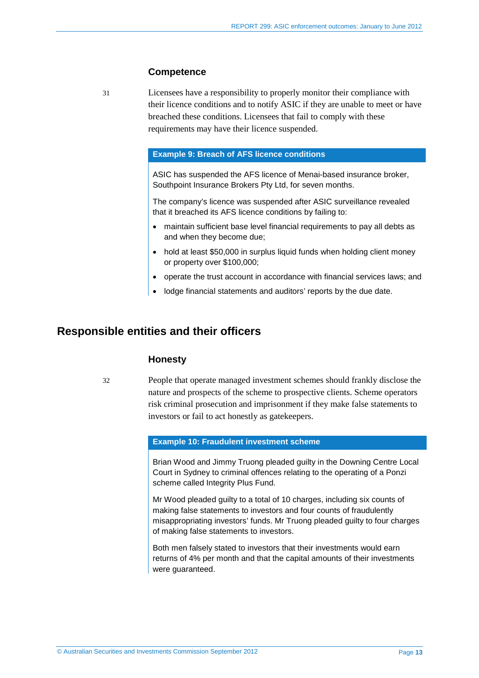#### **Competence**

31 Licensees have a responsibility to properly monitor their compliance with their licence conditions and to notify ASIC if they are unable to meet or have breached these conditions. Licensees that fail to comply with these requirements may have their licence suspended.

#### **Example 9: Breach of AFS licence conditions**

ASIC has suspended the AFS licence of Menai-based insurance broker, Southpoint Insurance Brokers Pty Ltd, for seven months.

The company's licence was suspended after ASIC surveillance revealed that it breached its AFS licence conditions by failing to:

- maintain sufficient base level financial requirements to pay all debts as and when they become due;
- hold at least \$50,000 in surplus liquid funds when holding client money or property over \$100,000;
- operate the trust account in accordance with financial services laws; and
- lodge financial statements and auditors' reports by the due date.

### <span id="page-12-0"></span>**Responsible entities and their officers**

#### **Honesty**

32 People that operate managed investment schemes should frankly disclose the nature and prospects of the scheme to prospective clients. Scheme operators risk criminal prosecution and imprisonment if they make false statements to investors or fail to act honestly as gatekeepers.

#### **Example 10: Fraudulent investment scheme**

Brian Wood and Jimmy Truong pleaded guilty in the Downing Centre Local Court in Sydney to criminal offences relating to the operating of a Ponzi scheme called Integrity Plus Fund.

Mr Wood pleaded guilty to a total of 10 charges, including six counts of making false statements to investors and four counts of fraudulently misappropriating investors' funds. Mr Truong pleaded guilty to four charges of making false statements to investors.

Both men falsely stated to investors that their investments would earn returns of 4% per month and that the capital amounts of their investments were guaranteed.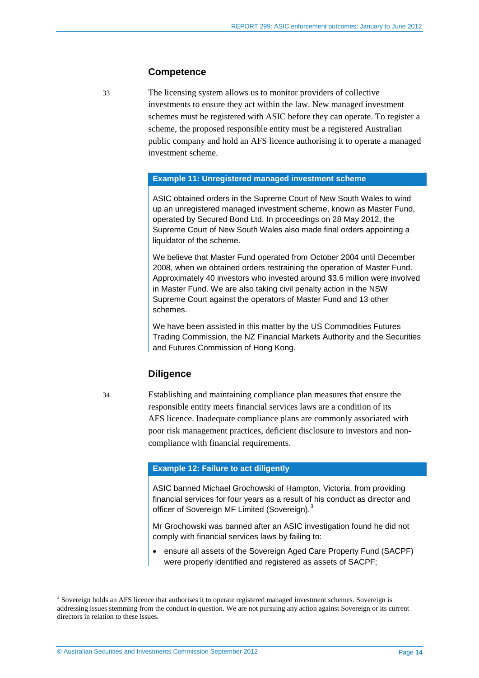#### **Competence**

33 The licensing system allows us to monitor providers of collective investments to ensure they act within the law. New managed investment schemes must be registered with ASIC before they can operate. To register a scheme, the proposed responsible entity must be a registered Australian public company and hold an AFS licence authorising it to operate a managed investment scheme.

#### **Example 11: Unregistered managed investment scheme**

ASIC obtained orders in the Supreme Court of New South Wales to wind up an unregistered managed investment scheme, known as Master Fund, operated by Secured Bond Ltd. In proceedings on 28 May 2012, the Supreme Court of New South Wales also made final orders appointing a liquidator of the scheme.

We believe that Master Fund operated from October 2004 until December 2008, when we obtained orders restraining the operation of Master Fund. Approximately 40 investors who invested around \$3.6 million were involved in Master Fund. We are also taking civil penalty action in the NSW Supreme Court against the operators of Master Fund and 13 other schemes.

We have been assisted in this matter by the US Commodities Futures Trading Commission, the NZ Financial Markets Authority and the Securities and Futures Commission of Hong Kong.

#### **Diligence**

<u>.</u>

34 Establishing and maintaining compliance plan measures that ensure the responsible entity meets financial services laws are a condition of its AFS licence. Inadequate compliance plans are commonly associated with poor risk management practices, deficient disclosure to investors and noncompliance with financial requirements.

#### **Example 12: Failure to act diligently**

ASIC banned Michael Grochowski of Hampton, Victoria, from providing financial services for four years as a result of his conduct as director and officer of Sovereign MF Limited (Sovereign).<sup>[3](#page-6-0)</sup>

Mr Grochowski was banned after an ASIC investigation found he did not comply with financial services laws by failing to:

• ensure all assets of the Sovereign Aged Care Property Fund (SACPF) were properly identified and registered as assets of SACPF;

<span id="page-13-0"></span><sup>&</sup>lt;sup>3</sup> Sovereign holds an AFS licence that authorises it to operate registered managed investment schemes. Sovereign is addressing issues stemming from the conduct in question. We are not pursuing any action against Sovereign or its current directors in relation to these issues.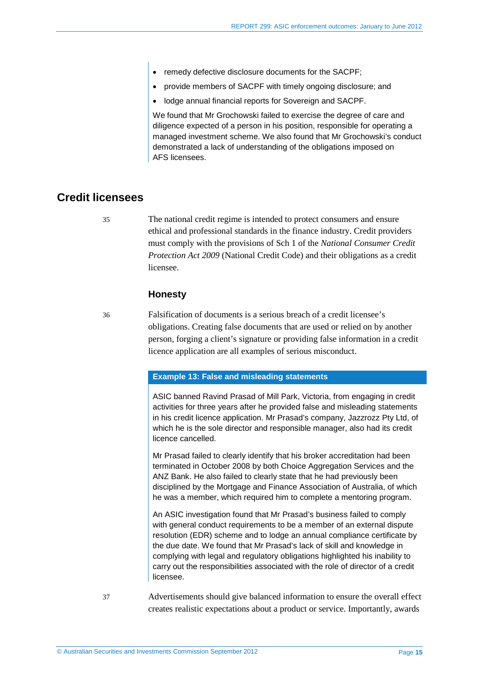- remedy defective disclosure documents for the SACPF;
- provide members of SACPF with timely ongoing disclosure; and
- lodge annual financial reports for Sovereign and SACPF.

We found that Mr Grochowski failed to exercise the degree of care and diligence expected of a person in his position, responsible for operating a managed investment scheme. We also found that Mr Grochowski's conduct demonstrated a lack of understanding of the obligations imposed on AFS licensees.

## <span id="page-14-0"></span>**Credit licensees**

35 The national credit regime is intended to protect consumers and ensure ethical and professional standards in the finance industry. Credit providers must comply with the provisions of Sch 1 of the *National Consumer Credit Protection Act 2009* (National Credit Code) and their obligations as a credit licensee.

#### **Honesty**

36 Falsification of documents is a serious breach of a credit licensee's obligations. Creating false documents that are used or relied on by another person, forging a client's signature or providing false information in a credit licence application are all examples of serious misconduct.

#### **Example 13: False and misleading statements**

ASIC banned Ravind Prasad of Mill Park, Victoria, from engaging in credit activities for three years after he provided false and misleading statements in his credit licence application. Mr Prasad's company, Jazzrozz Pty Ltd, of which he is the sole director and responsible manager, also had its credit licence cancelled.

Mr Prasad failed to clearly identify that his broker accreditation had been terminated in October 2008 by both Choice Aggregation Services and the ANZ Bank. He also failed to clearly state that he had previously been disciplined by the Mortgage and Finance Association of Australia, of which he was a member, which required him to complete a mentoring program.

An ASIC investigation found that Mr Prasad's business failed to comply with general conduct requirements to be a member of an external dispute resolution (EDR) scheme and to lodge an annual compliance certificate by the due date. We found that Mr Prasad's lack of skill and knowledge in complying with legal and regulatory obligations highlighted his inability to carry out the responsibilities associated with the role of director of a credit licensee.

37 Advertisements should give balanced information to ensure the overall effect creates realistic expectations about a product or service. Importantly, awards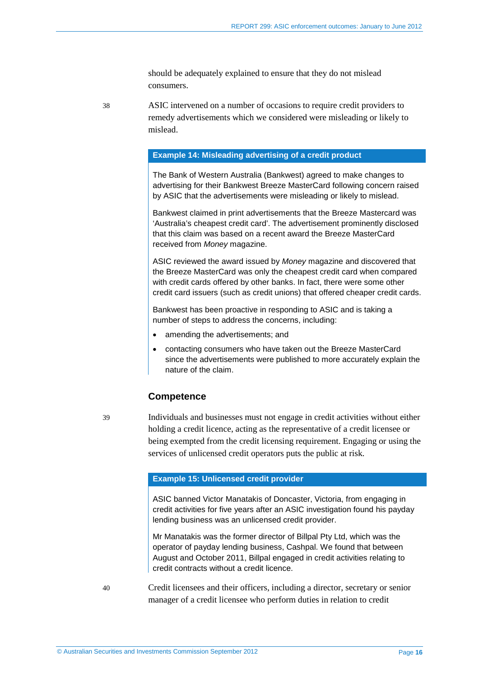should be adequately explained to ensure that they do not mislead consumers.

38 ASIC intervened on a number of occasions to require credit providers to remedy advertisements which we considered were misleading or likely to mislead.

#### **Example 14: Misleading advertising of a credit product**

The Bank of Western Australia (Bankwest) agreed to make changes to advertising for their Bankwest Breeze MasterCard following concern raised by ASIC that the advertisements were misleading or likely to mislead.

Bankwest claimed in print advertisements that the Breeze Mastercard was 'Australia's cheapest credit card'. The advertisement prominently disclosed that this claim was based on a recent award the Breeze MasterCard received from *Money* magazine.

ASIC reviewed the award issued by *Money* magazine and discovered that the Breeze MasterCard was only the cheapest credit card when compared with credit cards offered by other banks. In fact, there were some other credit card issuers (such as credit unions) that offered cheaper credit cards.

Bankwest has been proactive in responding to ASIC and is taking a number of steps to address the concerns, including:

- amending the advertisements; and
- contacting consumers who have taken out the Breeze MasterCard since the advertisements were published to more accurately explain the nature of the claim.

#### **Competence**

39 Individuals and businesses must not engage in credit activities without either holding a credit licence, acting as the representative of a credit licensee or being exempted from the credit licensing requirement. Engaging or using the services of unlicensed credit operators puts the public at risk.

#### **Example 15: Unlicensed credit provider**

ASIC banned Victor Manatakis of Doncaster, Victoria, from engaging in credit activities for five years after an ASIC investigation found his payday lending business was an unlicensed credit provider.

Mr Manatakis was the former director of Billpal Pty Ltd, which was the operator of payday lending business, Cashpal. We found that between August and October 2011, Billpal engaged in credit activities relating to credit contracts without a credit licence.

40 Credit licensees and their officers, including a director, secretary or senior manager of a credit licensee who perform duties in relation to credit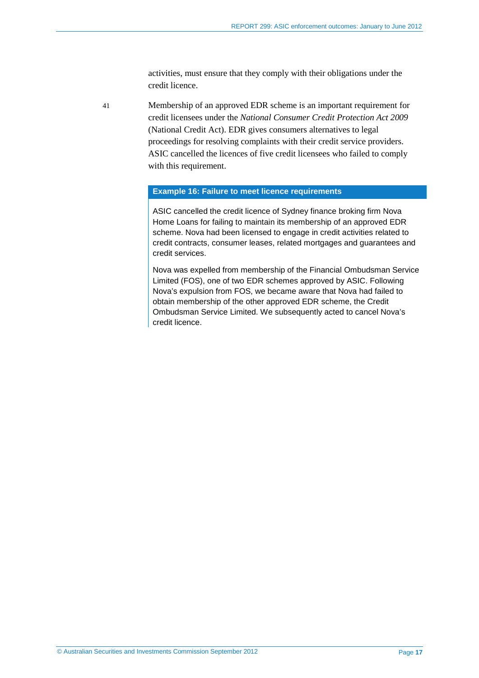activities, must ensure that they comply with their obligations under the credit licence.

41 Membership of an approved EDR scheme is an important requirement for credit licensees under the *National Consumer Credit Protection Act 2009*  (National Credit Act). EDR gives consumers alternatives to legal proceedings for resolving complaints with their credit service providers. ASIC cancelled the licences of five credit licensees who failed to comply with this requirement.

#### **Example 16: Failure to meet licence requirements**

ASIC cancelled the credit licence of Sydney finance broking firm Nova Home Loans for failing to maintain its membership of an approved EDR scheme. Nova had been licensed to engage in credit activities related to credit contracts, consumer leases, related mortgages and guarantees and credit services.

Nova was expelled from membership of the Financial Ombudsman Service Limited (FOS), one of two EDR schemes approved by ASIC. Following Nova's expulsion from FOS, we became aware that Nova had failed to obtain membership of the other approved EDR scheme, the Credit Ombudsman Service Limited. We subsequently acted to cancel Nova's credit licence.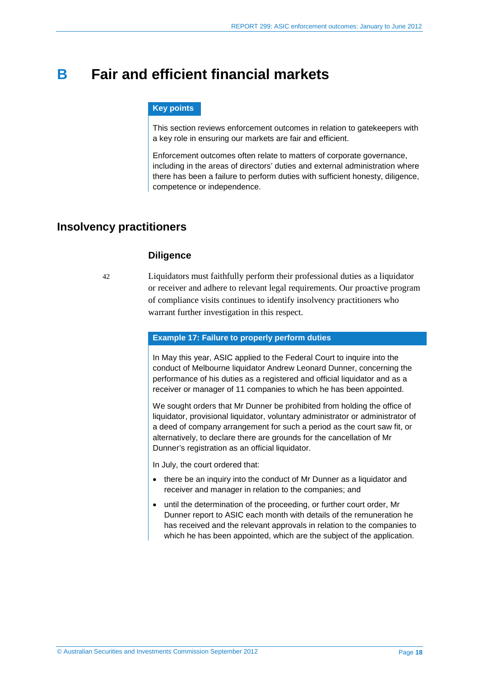## <span id="page-17-0"></span>**B Fair and efficient financial markets**

#### **Key points**

This section reviews enforcement outcomes in relation to gatekeepers with a key role in ensuring our markets are fair and efficient.

Enforcement outcomes often relate to matters of corporate governance, including in the areas of directors' duties and external administration where there has been a failure to perform duties with sufficient honesty, diligence, competence or independence.

## <span id="page-17-1"></span>**Insolvency practitioners**

#### **Diligence**

42 Liquidators must faithfully perform their professional duties as a liquidator or receiver and adhere to relevant legal requirements. Our proactive program of compliance visits continues to identify insolvency practitioners who warrant further investigation in this respect.

#### **Example 17: Failure to properly perform duties**

In May this year, ASIC applied to the Federal Court to inquire into the conduct of Melbourne liquidator Andrew Leonard Dunner, concerning the performance of his duties as a registered and official liquidator and as a receiver or manager of 11 companies to which he has been appointed.

We sought orders that Mr Dunner be prohibited from holding the office of liquidator, provisional liquidator, voluntary administrator or administrator of a deed of company arrangement for such a period as the court saw fit, or alternatively, to declare there are grounds for the cancellation of Mr Dunner's registration as an official liquidator.

In July, the court ordered that:

- there be an inquiry into the conduct of Mr Dunner as a liquidator and receiver and manager in relation to the companies; and
- until the determination of the proceeding, or further court order, Mr Dunner report to ASIC each month with details of the remuneration he has received and the relevant approvals in relation to the companies to which he has been appointed, which are the subject of the application.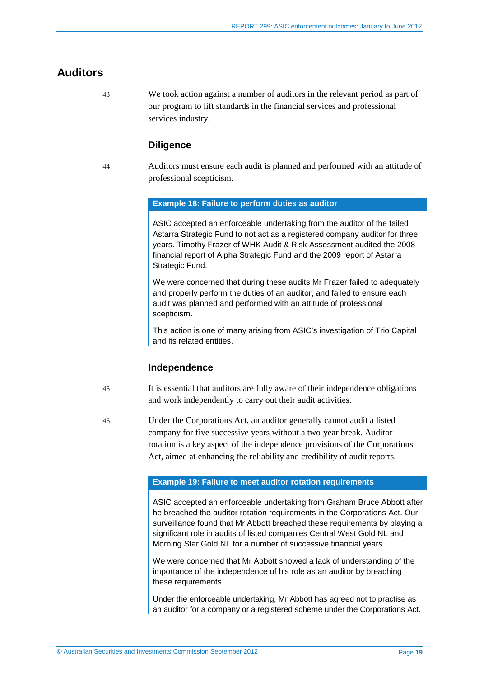## <span id="page-18-0"></span>**Auditors**

43 We took action against a number of auditors in the relevant period as part of our program to lift standards in the financial services and professional services industry.

#### **Diligence**

44 Auditors must ensure each audit is planned and performed with an attitude of professional scepticism.

#### **Example 18: Failure to perform duties as auditor**

ASIC accepted an enforceable undertaking from the auditor of the failed Astarra Strategic Fund to not act as a registered company auditor for three years. Timothy Frazer of WHK Audit & Risk Assessment audited the 2008 financial report of Alpha Strategic Fund and the 2009 report of Astarra Strategic Fund.

We were concerned that during these audits Mr Frazer failed to adequately and properly perform the duties of an auditor, and failed to ensure each audit was planned and performed with an attitude of professional scepticism.

This action is one of many arising from ASIC's investigation of Trio Capital and its related entities.

#### **Independence**

45 It is essential that auditors are fully aware of their independence obligations and work independently to carry out their audit activities.

46 Under the Corporations Act, an auditor generally cannot audit a listed company for five successive years without a two-year break. Auditor rotation is a key aspect of the independence provisions of the Corporations Act, aimed at enhancing the reliability and credibility of audit reports.

#### **Example 19: Failure to meet auditor rotation requirements**

ASIC accepted an enforceable undertaking from Graham Bruce Abbott after he breached the auditor rotation requirements in the Corporations Act. Our surveillance found that Mr Abbott breached these requirements by playing a significant role in audits of listed companies Central West Gold NL and Morning Star Gold NL for a number of successive financial years.

We were concerned that Mr Abbott showed a lack of understanding of the importance of the independence of his role as an auditor by breaching these requirements.

Under the enforceable undertaking, Mr Abbott has agreed not to practise as an auditor for a company or a registered scheme under the Corporations Act.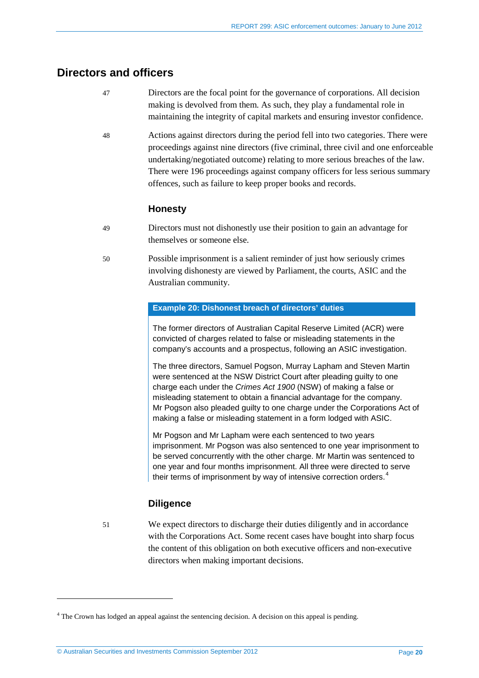## <span id="page-19-0"></span>**Directors and officers**

- 47 Directors are the focal point for the governance of corporations. All decision making is devolved from them. As such, they play a fundamental role in maintaining the integrity of capital markets and ensuring investor confidence.
- 48 Actions against directors during the period fell into two categories. There were proceedings against nine directors (five criminal, three civil and one enforceable undertaking/negotiated outcome) relating to more serious breaches of the law. There were 196 proceedings against company officers for less serious summary offences, such as failure to keep proper books and records.

#### **Honesty**

- 49 Directors must not dishonestly use their position to gain an advantage for themselves or someone else.
- 50 Possible imprisonment is a salient reminder of just how seriously crimes involving dishonesty are viewed by Parliament, the courts, ASIC and the Australian community.

#### **Example 20: Dishonest breach of directors' duties**

The former directors of Australian Capital Reserve Limited (ACR) were convicted of charges related to false or misleading statements in the company's accounts and a prospectus, following an ASIC investigation.

The three directors, Samuel Pogson, Murray Lapham and Steven Martin were sentenced at the NSW District Court after pleading guilty to one charge each under the *Crimes Act 1900* (NSW) of making a false or misleading statement to obtain a financial advantage for the company. Mr Pogson also pleaded guilty to one charge under the Corporations Act of making a false or misleading statement in a form lodged with ASIC.

Mr Pogson and Mr Lapham were each sentenced to two years imprisonment. Mr Pogson was also sentenced to one year imprisonment to be served concurrently with the other charge. Mr Martin was sentenced to one year and four months imprisonment. All three were directed to serve their terms of imprisonment by way of intensive correction orders.<sup>[4](#page-13-0)</sup>

#### **Diligence**

<span id="page-19-1"></span><u>.</u>

51 We expect directors to discharge their duties diligently and in accordance with the Corporations Act. Some recent cases have bought into sharp focus the content of this obligation on both executive officers and non-executive directors when making important decisions.

<sup>4</sup> The Crown has lodged an appeal against the sentencing decision. A decision on this appeal is pending.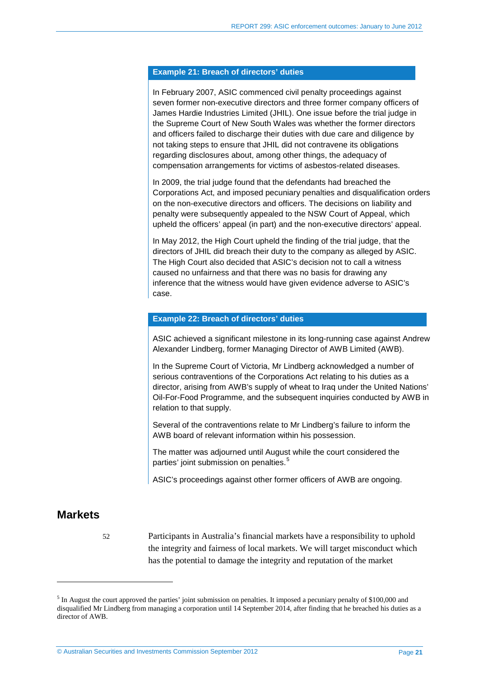#### **Example 21: Breach of directors' duties**

In February 2007, ASIC commenced civil penalty proceedings against seven former non-executive directors and three former company officers of James Hardie Industries Limited (JHIL). One issue before the trial judge in the Supreme Court of New South Wales was whether the former directors and officers failed to discharge their duties with due care and diligence by not taking steps to ensure that JHIL did not contravene its obligations regarding disclosures about, among other things, the adequacy of compensation arrangements for victims of asbestos-related diseases.

In 2009, the trial judge found that the defendants had breached the Corporations Act, and imposed pecuniary penalties and disqualification orders on the non-executive directors and officers. The decisions on liability and penalty were subsequently appealed to the NSW Court of Appeal, which upheld the officers' appeal (in part) and the non-executive directors' appeal.

In May 2012, the High Court upheld the finding of the trial judge, that the directors of JHIL did breach their duty to the company as alleged by ASIC. The High Court also decided that ASIC's decision not to call a witness caused no unfairness and that there was no basis for drawing any inference that the witness would have given evidence adverse to ASIC's case.

#### **Example 22: Breach of directors' duties**

ASIC achieved a significant milestone in its long-running case against Andrew Alexander Lindberg, former Managing Director of AWB Limited (AWB).

In the Supreme Court of Victoria, Mr Lindberg acknowledged a number of serious contraventions of the Corporations Act relating to his duties as a director, arising from AWB's supply of wheat to Iraq under the United Nations' Oil-For-Food Programme, and the subsequent inquiries conducted by AWB in relation to that supply.

Several of the contraventions relate to Mr Lindberg's failure to inform the AWB board of relevant information within his possession.

The matter was adjourned until August while the court considered the parties' joint submission on penalties.<sup>[5](#page-19-1)</sup>

ASIC's proceedings against other former officers of AWB are ongoing.

## <span id="page-20-0"></span>**Markets**

<u>.</u>

52 Participants in Australia's financial markets have a responsibility to uphold the integrity and fairness of local markets. We will target misconduct which has the potential to damage the integrity and reputation of the market

<span id="page-20-1"></span><sup>&</sup>lt;sup>5</sup> In August the court approved the parties' joint submission on penalties. It imposed a pecuniary penalty of \$100,000 and disqualified Mr Lindberg from managing a corporation until 14 September 2014, after finding that he breached his duties as a director of AWB.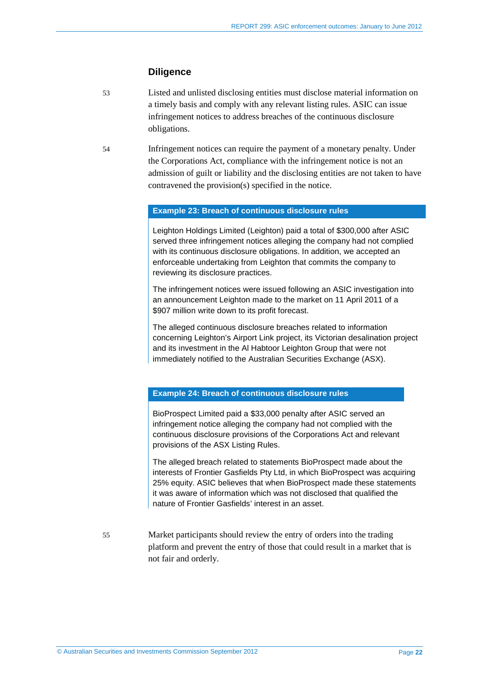#### **Diligence**

- 53 Listed and unlisted disclosing entities must disclose material information on a timely basis and comply with any relevant listing rules. ASIC can issue infringement notices to address breaches of the continuous disclosure obligations.
- 54 Infringement notices can require the payment of a monetary penalty. Under the Corporations Act, compliance with the infringement notice is not an admission of guilt or liability and the disclosing entities are not taken to have contravened the provision(s) specified in the notice.

#### **Example 23: Breach of continuous disclosure rules**

Leighton Holdings Limited (Leighton) paid a total of \$300,000 after ASIC served three infringement notices alleging the company had not complied with its continuous disclosure obligations. In addition, we accepted an enforceable undertaking from Leighton that commits the company to reviewing its disclosure practices.

The infringement notices were issued following an ASIC investigation into an announcement Leighton made to the market on 11 April 2011 of a \$907 million write down to its profit forecast.

The alleged continuous disclosure breaches related to information concerning Leighton's Airport Link project, its Victorian desalination project and its investment in the Al Habtoor Leighton Group that were not immediately notified to the Australian Securities Exchange (ASX).

#### **Example 24: Breach of continuous disclosure rules**

BioProspect Limited paid a \$33,000 penalty after ASIC served an infringement notice alleging the company had not complied with the continuous disclosure provisions of the Corporations Act and relevant provisions of the ASX Listing Rules.

The alleged breach related to statements BioProspect made about the interests of Frontier Gasfields Pty Ltd, in which BioProspect was acquiring 25% equity. ASIC believes that when BioProspect made these statements it was aware of information which was not disclosed that qualified the nature of Frontier Gasfields' interest in an asset.

55 Market participants should review the entry of orders into the trading platform and prevent the entry of those that could result in a market that is not fair and orderly.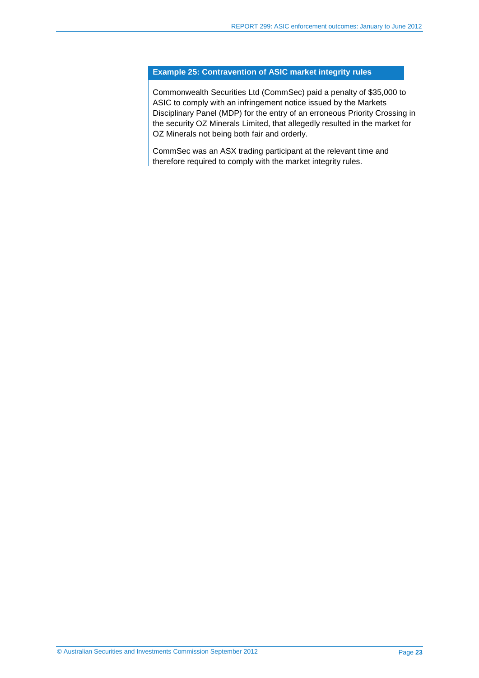#### **Example 25: Contravention of ASIC market integrity rules**

Commonwealth Securities Ltd (CommSec) paid a penalty of \$35,000 to ASIC to comply with an infringement notice issued by the Markets Disciplinary Panel (MDP) for the entry of an erroneous Priority Crossing in the security OZ Minerals Limited, that allegedly resulted in the market for OZ Minerals not being both fair and orderly.

CommSec was an ASX trading participant at the relevant time and therefore required to comply with the market integrity rules.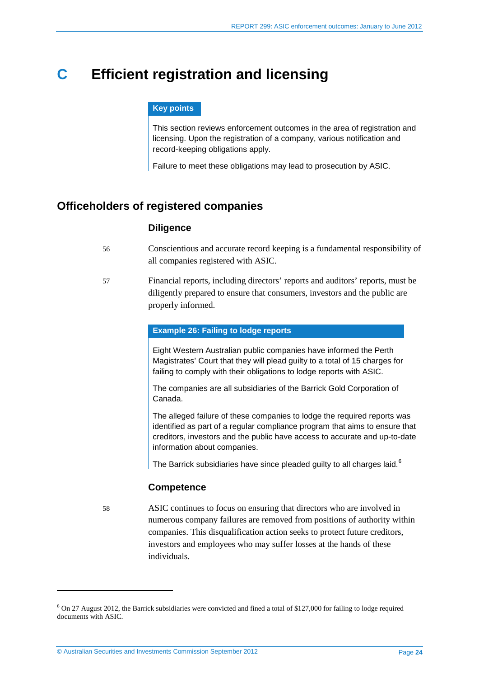## <span id="page-23-0"></span>**C Efficient registration and licensing**

#### **Key points**

This section reviews enforcement outcomes in the area of registration and licensing. Upon the registration of a company, various notification and record-keeping obligations apply.

Failure to meet these obligations may lead to prosecution by ASIC.

## <span id="page-23-1"></span>**Officeholders of registered companies**

#### **Diligence**

- 56 Conscientious and accurate record keeping is a fundamental responsibility of all companies registered with ASIC.
- 57 Financial reports, including directors' reports and auditors' reports, must be diligently prepared to ensure that consumers, investors and the public are properly informed.

#### **Example 26: Failing to lodge reports**

Eight Western Australian public companies have informed the Perth Magistrates' Court that they will plead guilty to a total of 15 charges for failing to comply with their obligations to lodge reports with ASIC.

The companies are all subsidiaries of the Barrick Gold Corporation of Canada.

The alleged failure of these companies to lodge the required reports was identified as part of a regular compliance program that aims to ensure that creditors, investors and the public have access to accurate and up-to-date information about companies.

The Barrick subsidiaries have since pleaded guilty to all charges laid.<sup>[6](#page-20-1)</sup>

#### **Competence**

-

58 ASIC continues to focus on ensuring that directors who are involved in numerous company failures are removed from positions of authority within companies. This disqualification action seeks to protect future creditors, investors and employees who may suffer losses at the hands of these individuals.

 $6$  On 27 August 2012, the Barrick subsidiaries were convicted and fined a total of \$127,000 for failing to lodge required documents with ASIC.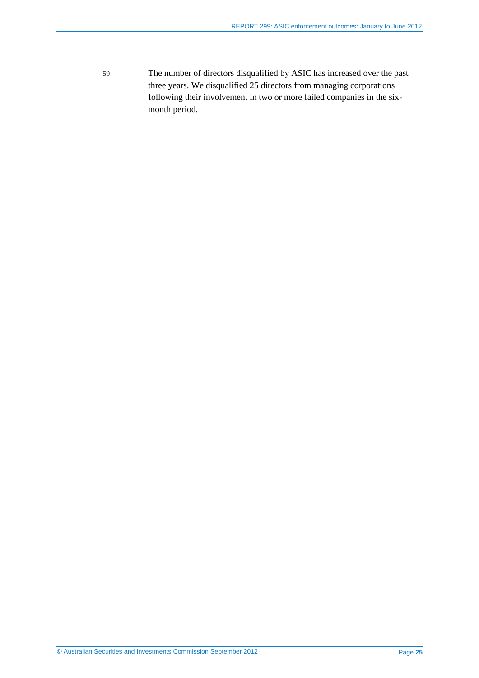59 The number of directors disqualified by ASIC has increased over the past three years. We disqualified 25 directors from managing corporations following their involvement in two or more failed companies in the sixmonth period.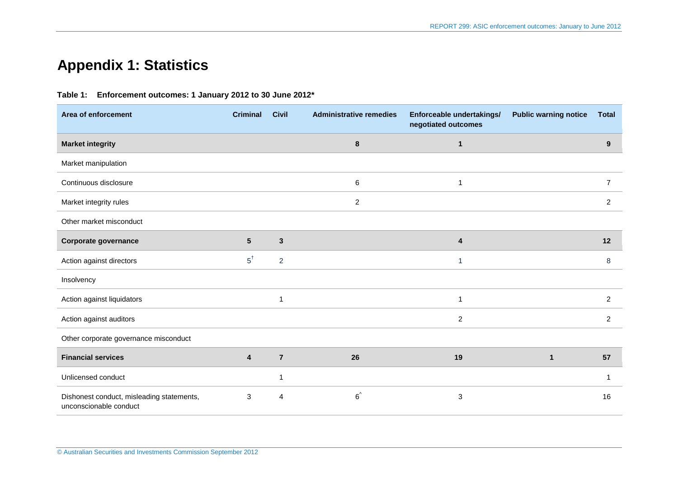# **Appendix 1: Statistics**

<span id="page-25-1"></span><span id="page-25-0"></span>

| Area of enforcement                                                 | <b>Criminal</b> | <b>Civil</b>   | <b>Administrative remedies</b> | Enforceable undertakings/<br>negotiated outcomes | <b>Public warning notice</b> | <b>Total</b>   |
|---------------------------------------------------------------------|-----------------|----------------|--------------------------------|--------------------------------------------------|------------------------------|----------------|
| <b>Market integrity</b>                                             |                 |                | 8                              | $\mathbf{1}$                                     |                              | 9              |
| Market manipulation                                                 |                 |                |                                |                                                  |                              |                |
| Continuous disclosure                                               |                 |                | 6                              | $\mathbf{1}$                                     |                              | $\overline{7}$ |
| Market integrity rules                                              |                 |                | $\overline{\mathbf{c}}$        |                                                  |                              | $\overline{2}$ |
| Other market misconduct                                             |                 |                |                                |                                                  |                              |                |
| <b>Corporate governance</b>                                         | $5\phantom{.0}$ | $\mathbf{3}$   |                                | 4                                                |                              | 12             |
| Action against directors                                            | $5^{\dagger}$   | $\overline{2}$ |                                | 1                                                |                              | 8              |
| Insolvency                                                          |                 |                |                                |                                                  |                              |                |
| Action against liquidators                                          |                 | 1              |                                | 1                                                |                              | $\overline{2}$ |
| Action against auditors                                             |                 |                |                                | $\overline{2}$                                   |                              | $\overline{a}$ |
| Other corporate governance misconduct                               |                 |                |                                |                                                  |                              |                |
| <b>Financial services</b>                                           | 4               | $\overline{7}$ | 26                             | 19                                               | 1                            | 57             |
| Unlicensed conduct                                                  |                 | 1              |                                |                                                  |                              | 1              |
| Dishonest conduct, misleading statements,<br>unconscionable conduct | 3               | 4              | $6^{\wedge}$                   | $\sqrt{3}$                                       |                              | 16             |

#### **Table 1: Enforcement outcomes: 1 January 2012 to 30 June 2012\***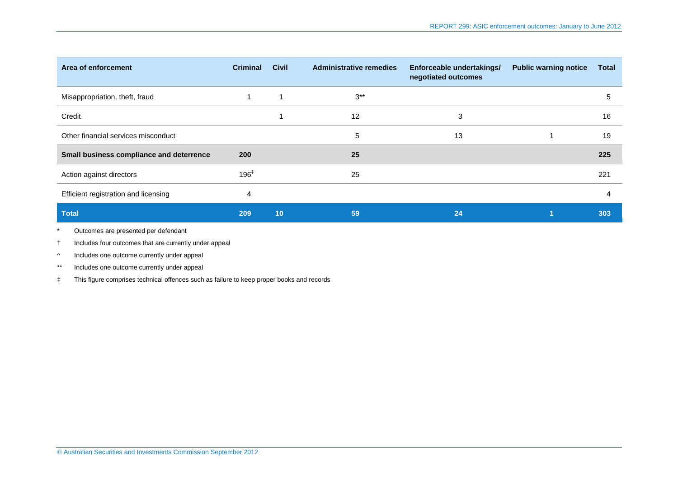| Area of enforcement                      | <b>Criminal</b>  | <b>Civil</b> | <b>Administrative remedies</b> | Enforceable undertakings/<br>negotiated outcomes | <b>Public warning notice</b> | <b>Total</b> |
|------------------------------------------|------------------|--------------|--------------------------------|--------------------------------------------------|------------------------------|--------------|
| Misappropriation, theft, fraud           |                  | и            | $3^{**}$                       |                                                  |                              | 5            |
| Credit                                   |                  |              | 12                             | 3                                                |                              | 16           |
| Other financial services misconduct      |                  |              | 5                              | 13                                               |                              | 19           |
| Small business compliance and deterrence | 200              |              | 25                             |                                                  |                              | 225          |
| Action against directors                 | $196^{\ddagger}$ |              | 25                             |                                                  |                              | 221          |
| Efficient registration and licensing     | 4                |              |                                |                                                  |                              | 4            |
| Total                                    | 209              | 10           | 59                             | 24                                               |                              | 303          |

\* Outcomes are presented per defendant

† Includes four outcomes that are currently under appeal

^ Includes one outcome currently under appeal

\*\* Includes one outcome currently under appeal

‡ This figure comprises technical offences such as failure to keep proper books and records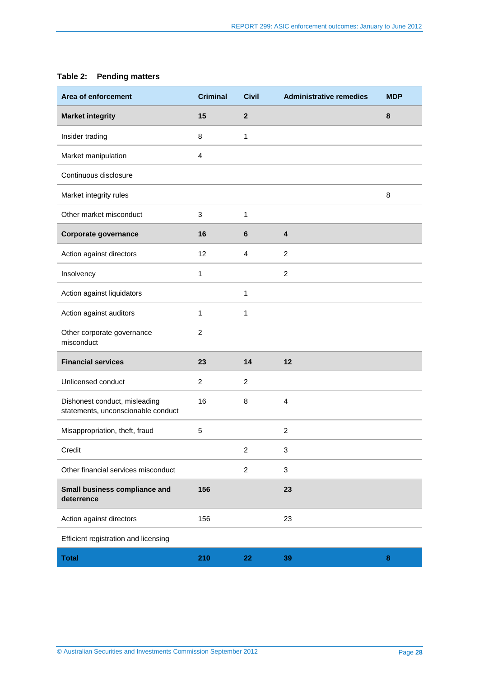## <span id="page-27-0"></span>**Table 2: Pending matters**

| Area of enforcement                                                 | <b>Criminal</b> | <b>Civil</b>   | <b>Administrative remedies</b> | <b>MDP</b> |
|---------------------------------------------------------------------|-----------------|----------------|--------------------------------|------------|
| <b>Market integrity</b>                                             | 15              | $\mathbf{2}$   |                                | 8          |
| Insider trading                                                     | 8               | 1              |                                |            |
| Market manipulation                                                 | $\overline{4}$  |                |                                |            |
| Continuous disclosure                                               |                 |                |                                |            |
| Market integrity rules                                              |                 |                |                                | $\bf 8$    |
| Other market misconduct                                             | 3               | 1              |                                |            |
| Corporate governance                                                | 16              | 6              | 4                              |            |
| Action against directors                                            | 12              | 4              | $\overline{c}$                 |            |
| Insolvency                                                          | 1               |                | $\overline{c}$                 |            |
| Action against liquidators                                          |                 | 1              |                                |            |
| Action against auditors                                             | 1               | 1              |                                |            |
| Other corporate governance<br>misconduct                            | $\overline{c}$  |                |                                |            |
| <b>Financial services</b>                                           | 23              | 14             | 12                             |            |
| Unlicensed conduct                                                  | 2               | $\overline{2}$ |                                |            |
| Dishonest conduct, misleading<br>statements, unconscionable conduct | 16              | 8              | $\overline{4}$                 |            |
| Misappropriation, theft, fraud                                      | 5               |                | $\overline{c}$                 |            |
| Credit                                                              |                 | 2              | З                              |            |
| Other financial services misconduct                                 |                 | $\overline{c}$ | 3                              |            |
| Small business compliance and<br>deterrence                         | 156             |                | 23                             |            |
| Action against directors                                            | 156             |                | 23                             |            |
| Efficient registration and licensing                                |                 |                |                                |            |
| <b>Total</b>                                                        | 210             | 22             | 39                             | $\bf8$     |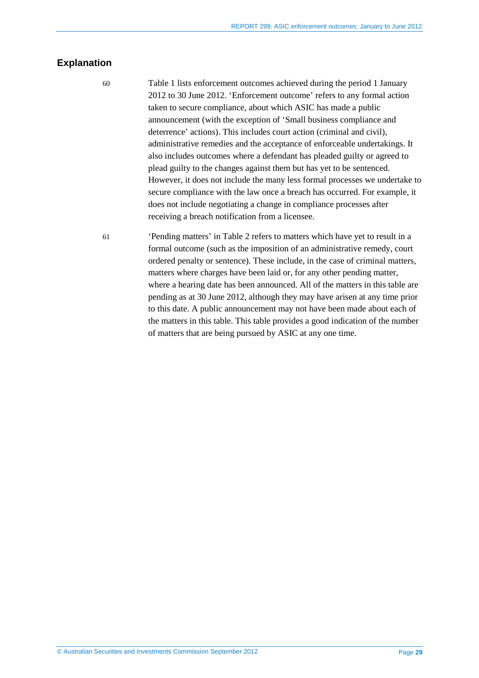#### <span id="page-28-0"></span>**Explanation**

60 [Table 1](#page-25-1) lists enforcement outcomes achieved during the period 1 January 2012 to 30 June 2012. 'Enforcement outcome' refers to any formal action taken to secure compliance, about which ASIC has made a public announcement (with the exception of 'Small business compliance and deterrence' actions). This includes court action (criminal and civil), administrative remedies and the acceptance of enforceable undertakings. It also includes outcomes where a defendant has pleaded guilty or agreed to plead guilty to the changes against them but has yet to be sentenced. However, it does not include the many less formal processes we undertake to secure compliance with the law once a breach has occurred. For example, it does not include negotiating a change in compliance processes after receiving a breach notification from a licensee.

61 'Pending matters' in [Table 2](#page-27-0) refers to matters which have yet to result in a formal outcome (such as the imposition of an administrative remedy, court ordered penalty or sentence). These include, in the case of criminal matters, matters where charges have been laid or, for any other pending matter, where a hearing date has been announced. All of the matters in this table are pending as at 30 June 2012, although they may have arisen at any time prior to this date. A public announcement may not have been made about each of the matters in this table. This table provides a good indication of the number of matters that are being pursued by ASIC at any one time.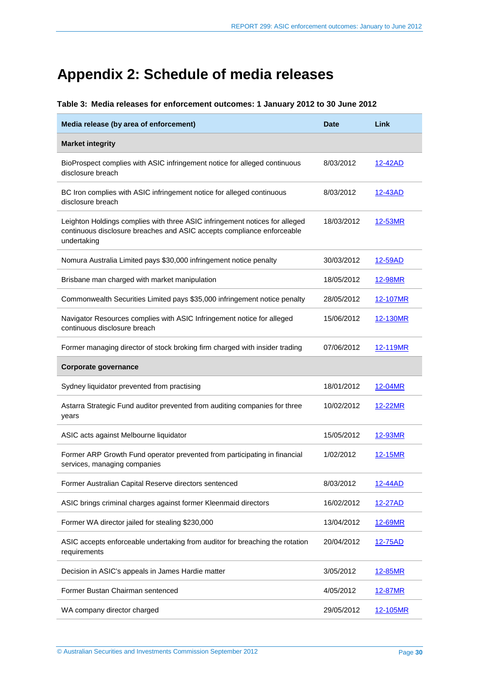# <span id="page-29-0"></span>**Appendix 2: Schedule of media releases**

#### **Table 3: Media releases for enforcement outcomes: 1 January 2012 to 30 June 2012**

| Media release (by area of enforcement)                                                                                                                               | <b>Date</b> | Link            |
|----------------------------------------------------------------------------------------------------------------------------------------------------------------------|-------------|-----------------|
| <b>Market integrity</b>                                                                                                                                              |             |                 |
| BioProspect complies with ASIC infringement notice for alleged continuous<br>disclosure breach                                                                       | 8/03/2012   | 12-42AD         |
| BC Iron complies with ASIC infringement notice for alleged continuous<br>disclosure breach                                                                           | 8/03/2012   | 12-43AD         |
| Leighton Holdings complies with three ASIC infringement notices for alleged<br>continuous disclosure breaches and ASIC accepts compliance enforceable<br>undertaking | 18/03/2012  | 12-53MR         |
| Nomura Australia Limited pays \$30,000 infringement notice penalty                                                                                                   | 30/03/2012  | 12-59AD         |
| Brisbane man charged with market manipulation                                                                                                                        | 18/05/2012  | <u>12-98MR</u>  |
| Commonwealth Securities Limited pays \$35,000 infringement notice penalty                                                                                            | 28/05/2012  | <u>12-107MR</u> |
| Navigator Resources complies with ASIC Infringement notice for alleged<br>continuous disclosure breach                                                               | 15/06/2012  | 12-130MR        |
| Former managing director of stock broking firm charged with insider trading                                                                                          | 07/06/2012  | 12-119MR        |
| Corporate governance                                                                                                                                                 |             |                 |
| Sydney liquidator prevented from practising                                                                                                                          | 18/01/2012  | 12-04MR         |
| Astarra Strategic Fund auditor prevented from auditing companies for three<br>years                                                                                  | 10/02/2012  | 12-22MR         |
| ASIC acts against Melbourne liquidator                                                                                                                               | 15/05/2012  | 12-93MR         |
| Former ARP Growth Fund operator prevented from participating in financial<br>services, managing companies                                                            | 1/02/2012   | 12-15MR         |
| Former Australian Capital Reserve directors sentenced                                                                                                                | 8/03/2012   | 12-44AD         |
| ASIC brings criminal charges against former Kleenmaid directors                                                                                                      | 16/02/2012  | 12-27AD         |
| Former WA director jailed for stealing \$230,000                                                                                                                     | 13/04/2012  | 12-69MR         |
| ASIC accepts enforceable undertaking from auditor for breaching the rotation<br>requirements                                                                         | 20/04/2012  | 12-75AD         |
| Decision in ASIC's appeals in James Hardie matter                                                                                                                    | 3/05/2012   | 12-85MR         |
| Former Bustan Chairman sentenced                                                                                                                                     | 4/05/2012   | 12-87MR         |
| WA company director charged                                                                                                                                          | 29/05/2012  | 12-105MR        |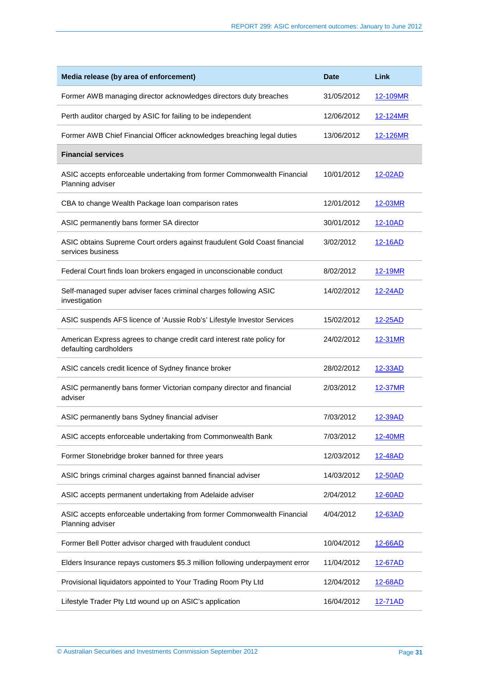| Media release (by area of enforcement)                                                           | <b>Date</b> | Link           |
|--------------------------------------------------------------------------------------------------|-------------|----------------|
| Former AWB managing director acknowledges directors duty breaches                                | 31/05/2012  | 12-109MR       |
| Perth auditor charged by ASIC for failing to be independent                                      | 12/06/2012  | 12-124MR       |
| Former AWB Chief Financial Officer acknowledges breaching legal duties                           | 13/06/2012  | 12-126MR       |
| <b>Financial services</b>                                                                        |             |                |
| ASIC accepts enforceable undertaking from former Commonwealth Financial<br>Planning adviser      | 10/01/2012  | 12-02AD        |
| CBA to change Wealth Package loan comparison rates                                               | 12/01/2012  | 12-03MR        |
| ASIC permanently bans former SA director                                                         | 30/01/2012  | 12-10AD        |
| ASIC obtains Supreme Court orders against fraudulent Gold Coast financial<br>services business   | 3/02/2012   | 12-16AD        |
| Federal Court finds loan brokers engaged in unconscionable conduct                               | 8/02/2012   | 12-19MR        |
| Self-managed super adviser faces criminal charges following ASIC<br>investigation                | 14/02/2012  | 12-24AD        |
| ASIC suspends AFS licence of 'Aussie Rob's' Lifestyle Investor Services                          | 15/02/2012  | 12-25AD        |
| American Express agrees to change credit card interest rate policy for<br>defaulting cardholders | 24/02/2012  | 12-31MR        |
| ASIC cancels credit licence of Sydney finance broker                                             | 28/02/2012  | 12-33AD        |
| ASIC permanently bans former Victorian company director and financial<br>adviser                 | 2/03/2012   | 12-37MR        |
| ASIC permanently bans Sydney financial adviser                                                   | 7/03/2012   | 12-39AD        |
| ASIC accepts enforceable undertaking from Commonwealth Bank                                      | 7/03/2012   | 12-40MR        |
| Former Stonebridge broker banned for three years                                                 | 12/03/2012  | <u>12-48AD</u> |
| ASIC brings criminal charges against banned financial adviser                                    | 14/03/2012  | 12-50AD        |
| ASIC accepts permanent undertaking from Adelaide adviser                                         | 2/04/2012   | <u>12-60AD</u> |
| ASIC accepts enforceable undertaking from former Commonwealth Financial<br>Planning adviser      | 4/04/2012   | <u>12-63AD</u> |
| Former Bell Potter advisor charged with fraudulent conduct                                       | 10/04/2012  | 12-66AD        |
| Elders Insurance repays customers \$5.3 million following underpayment error                     | 11/04/2012  | <u>12-67AD</u> |
| Provisional liquidators appointed to Your Trading Room Pty Ltd                                   | 12/04/2012  | 12-68AD        |
| Lifestyle Trader Pty Ltd wound up on ASIC's application                                          | 16/04/2012  | <u>12-71AD</u> |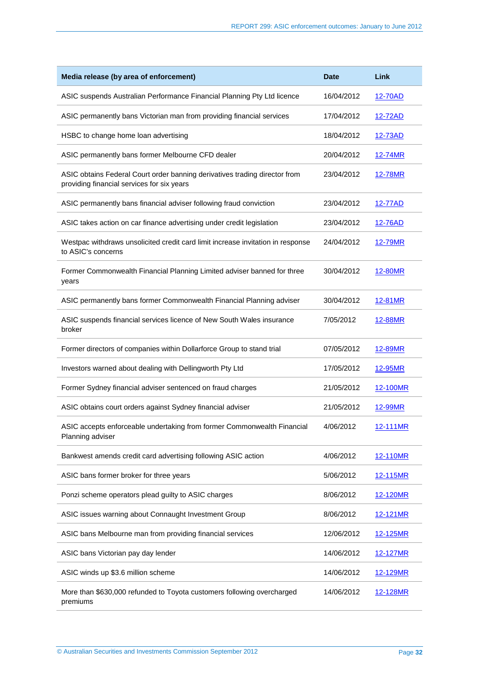| Media release (by area of enforcement)                                                                                   | <b>Date</b> | Link            |
|--------------------------------------------------------------------------------------------------------------------------|-------------|-----------------|
| ASIC suspends Australian Performance Financial Planning Pty Ltd licence                                                  | 16/04/2012  | 12-70AD         |
| ASIC permanently bans Victorian man from providing financial services                                                    | 17/04/2012  | 12-72AD         |
| HSBC to change home loan advertising                                                                                     | 18/04/2012  | <u>12-73AD</u>  |
| ASIC permanently bans former Melbourne CFD dealer                                                                        | 20/04/2012  | 12-74MR         |
| ASIC obtains Federal Court order banning derivatives trading director from<br>providing financial services for six years | 23/04/2012  | 12-78MR         |
| ASIC permanently bans financial adviser following fraud conviction                                                       | 23/04/2012  | 12-77AD         |
| ASIC takes action on car finance advertising under credit legislation                                                    | 23/04/2012  | 12-76AD         |
| Westpac withdraws unsolicited credit card limit increase invitation in response<br>to ASIC's concerns                    | 24/04/2012  | 12-79MR         |
| Former Commonwealth Financial Planning Limited adviser banned for three<br>years                                         | 30/04/2012  | 12-80MR         |
| ASIC permanently bans former Commonwealth Financial Planning adviser                                                     | 30/04/2012  | 12-81MR         |
| ASIC suspends financial services licence of New South Wales insurance<br>broker                                          | 7/05/2012   | 12-88MR         |
| Former directors of companies within Dollarforce Group to stand trial                                                    | 07/05/2012  | 12-89MR         |
| Investors warned about dealing with Dellingworth Pty Ltd                                                                 | 17/05/2012  | 12-95MR         |
| Former Sydney financial adviser sentenced on fraud charges                                                               | 21/05/2012  | 12-100MR        |
| ASIC obtains court orders against Sydney financial adviser                                                               | 21/05/2012  | 12-99MR         |
| ASIC accepts enforceable undertaking from former Commonwealth Financial<br>Planning adviser                              | 4/06/2012   | <u>12-111MR</u> |
| Bankwest amends credit card advertising following ASIC action                                                            | 4/06/2012   | 12-110MR        |
| ASIC bans former broker for three years                                                                                  | 5/06/2012   | 12-115MR        |
| Ponzi scheme operators plead guilty to ASIC charges                                                                      | 8/06/2012   | 12-120MR        |
| ASIC issues warning about Connaught Investment Group                                                                     | 8/06/2012   | <u>12-121MR</u> |
| ASIC bans Melbourne man from providing financial services                                                                | 12/06/2012  | 12-125MR        |
| ASIC bans Victorian pay day lender                                                                                       | 14/06/2012  | <u>12-127MR</u> |
| ASIC winds up \$3.6 million scheme                                                                                       | 14/06/2012  | 12-129MR        |
| More than \$630,000 refunded to Toyota customers following overcharged<br>premiums                                       | 14/06/2012  | <u>12-128MR</u> |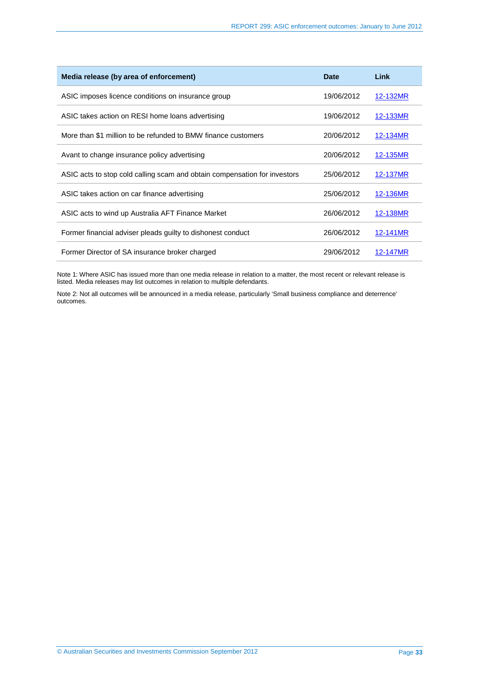| Media release (by area of enforcement)                                    | Date       | <b>Link</b> |
|---------------------------------------------------------------------------|------------|-------------|
| ASIC imposes licence conditions on insurance group                        | 19/06/2012 | 12-132MR    |
| ASIC takes action on RESI home loans advertising                          | 19/06/2012 | 12-133MR    |
| More than \$1 million to be refunded to BMW finance customers             | 20/06/2012 | 12-134MR    |
| Avant to change insurance policy advertising                              | 20/06/2012 | 12-135MR    |
| ASIC acts to stop cold calling scam and obtain compensation for investors | 25/06/2012 | 12-137MR    |
| ASIC takes action on car finance advertising                              | 25/06/2012 | 12-136MR    |
| ASIC acts to wind up Australia AFT Finance Market                         | 26/06/2012 | 12-138MR    |
| Former financial adviser pleads guilty to dishonest conduct               | 26/06/2012 | 12-141MR    |
| Former Director of SA insurance broker charged                            | 29/06/2012 | 12-147MR    |

Note 1: Where ASIC has issued more than one media release in relation to a matter, the most recent or relevant release is listed. Media releases may list outcomes in relation to multiple defendants.

Note 2: Not all outcomes will be announced in a media release, particularly 'Small business compliance and deterrence' outcomes.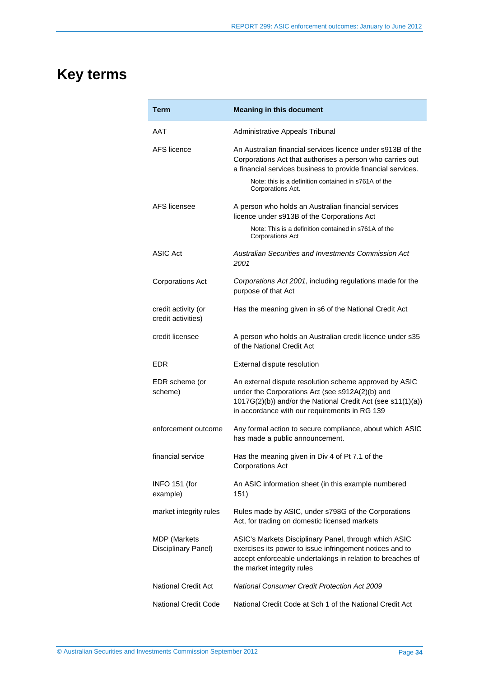# <span id="page-33-0"></span>**Key terms**

| Term                                       | <b>Meaning in this document</b>                                                                                                                                                                                                                                       |
|--------------------------------------------|-----------------------------------------------------------------------------------------------------------------------------------------------------------------------------------------------------------------------------------------------------------------------|
| AAT                                        | Administrative Appeals Tribunal                                                                                                                                                                                                                                       |
| AFS licence                                | An Australian financial services licence under s913B of the<br>Corporations Act that authorises a person who carries out<br>a financial services business to provide financial services.<br>Note: this is a definition contained in s761A of the<br>Corporations Act. |
| AFS licensee                               | A person who holds an Australian financial services<br>licence under s913B of the Corporations Act                                                                                                                                                                    |
|                                            | Note: This is a definition contained in s761A of the<br><b>Corporations Act</b>                                                                                                                                                                                       |
| ASIC Act                                   | Australian Securities and Investments Commission Act<br>2001                                                                                                                                                                                                          |
| <b>Corporations Act</b>                    | Corporations Act 2001, including regulations made for the<br>purpose of that Act                                                                                                                                                                                      |
| credit activity (or<br>credit activities)  | Has the meaning given in s6 of the National Credit Act                                                                                                                                                                                                                |
| credit licensee                            | A person who holds an Australian credit licence under s35<br>of the National Credit Act                                                                                                                                                                               |
| EDR                                        | External dispute resolution                                                                                                                                                                                                                                           |
| EDR scheme (or<br>scheme)                  | An external dispute resolution scheme approved by ASIC<br>under the Corporations Act (see s912A(2)(b) and<br>1017G(2)(b)) and/or the National Credit Act (see s11(1)(a))<br>in accordance with our requirements in RG 139                                             |
| enforcement outcome                        | Any formal action to secure compliance, about which ASIC<br>has made a public announcement.                                                                                                                                                                           |
| financial service                          | Has the meaning given in Div 4 of Pt 7.1 of the<br><b>Corporations Act</b>                                                                                                                                                                                            |
| INFO 151 (for<br>example)                  | An ASIC information sheet (in this example numbered<br>151)                                                                                                                                                                                                           |
| market integrity rules                     | Rules made by ASIC, under s798G of the Corporations<br>Act, for trading on domestic licensed markets                                                                                                                                                                  |
| <b>MDP</b> (Markets<br>Disciplinary Panel) | ASIC's Markets Disciplinary Panel, through which ASIC<br>exercises its power to issue infringement notices and to<br>accept enforceable undertakings in relation to breaches of<br>the market integrity rules                                                         |
| <b>National Credit Act</b>                 | <b>National Consumer Credit Protection Act 2009</b>                                                                                                                                                                                                                   |
| National Credit Code                       | National Credit Code at Sch 1 of the National Credit Act                                                                                                                                                                                                              |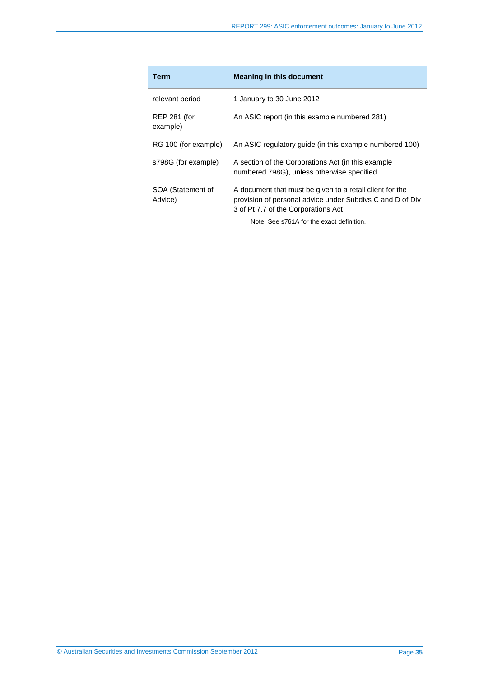| Term                            | <b>Meaning in this document</b>                                                                                                                              |
|---------------------------------|--------------------------------------------------------------------------------------------------------------------------------------------------------------|
| relevant period                 | 1 January to 30 June 2012                                                                                                                                    |
| <b>REP 281 (for</b><br>example) | An ASIC report (in this example numbered 281)                                                                                                                |
| RG 100 (for example)            | An ASIC regulatory guide (in this example numbered 100)                                                                                                      |
| s798G (for example)             | A section of the Corporations Act (in this example<br>numbered 798G), unless otherwise specified                                                             |
| SOA (Statement of<br>Advice)    | A document that must be given to a retail client for the<br>provision of personal advice under Subdivs C and D of Div<br>3 of Pt 7.7 of the Corporations Act |
|                                 | $N = 0$                                                                                                                                                      |

Note: See s761A for the exact definition.